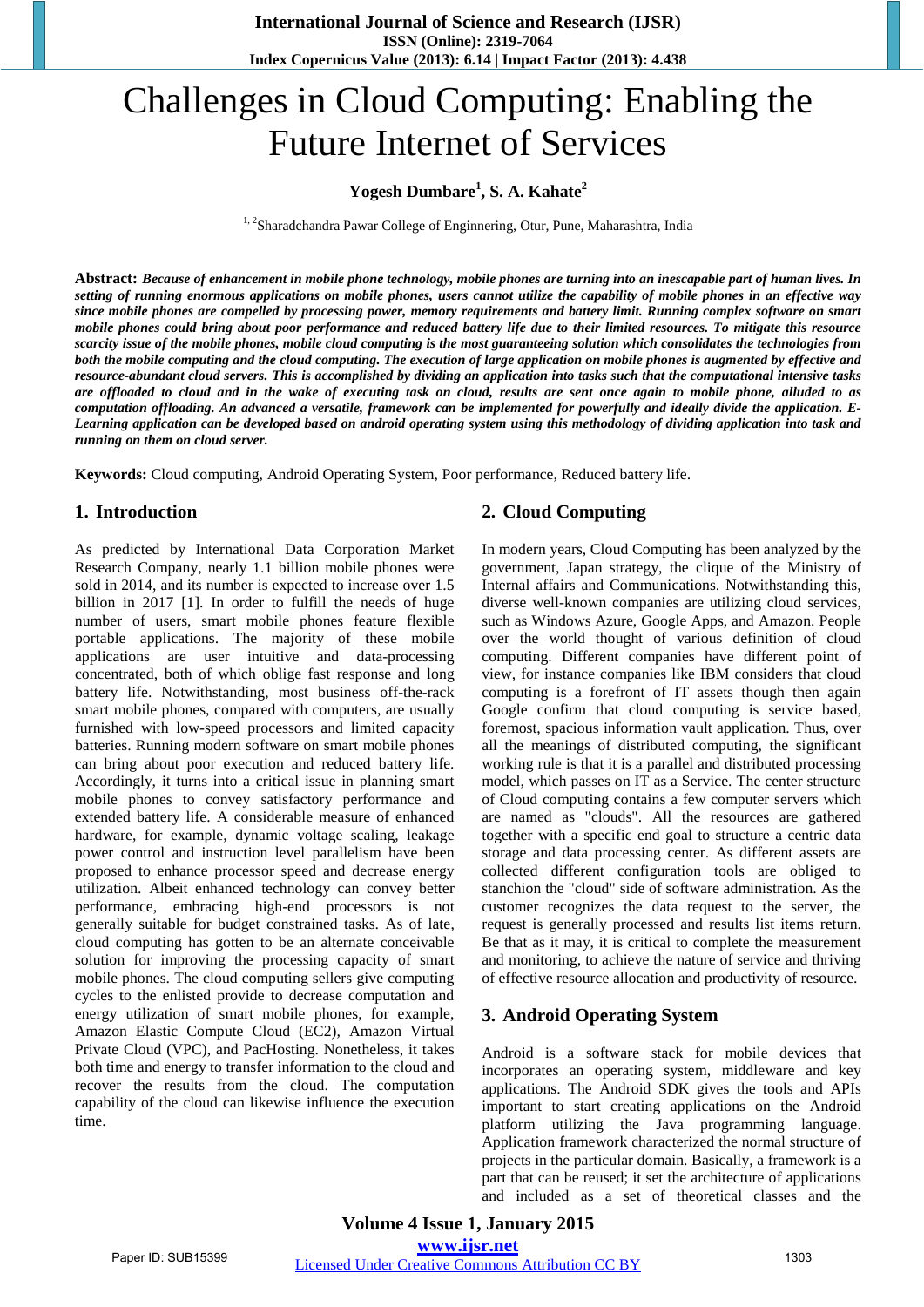# Challenges in Cloud Computing: Enabling the Future Internet of Services

### **Yogesh Dumbare<sup>1</sup> , S. A. Kahate<sup>2</sup>**

<sup>1, 2</sup>Sharadchandra Pawar College of Enginnering, Otur, Pune, Maharashtra, India

Abstract: Because of enhancement in mobile phone technology, mobile phones are turning into an inescapable part of human lives. In setting of running enormous applications on mobile phones, users cannot utilize the capability of mobile phones in an effective way since mobile phones are compelled by processing power, memory requirements and battery limit. Running complex software on smart mobile phones could bring about poor performance and reduced battery life due to their limited resources. To mitigate this resource scarcity issue of the mobile phones, mobile cloud computing is the most guaranteeing solution which consolidates the technologies from both the mobile computing and the cloud computing. The execution of large application on mobile phones is augmented by effective and resource-abundant cloud servers. This is accomplished by dividing an application into tasks such that the computational intensive tasks are offloaded to cloud and in the wake of executing task on cloud, results are sent once again to mobile phone, alluded to as *computation offloading. An advanced a versatile, framework can be implemented for powerfully and ideally divide the application. E-*Learning application can be developed based on android operating system using this methodology of dividing application into task and *running on them on cloud server.*

**Keywords:** Cloud computing, Android Operating System, Poor performance, Reduced battery life.

#### **1. Introduction**

As predicted by International Data Corporation Market Research Company, nearly 1.1 billion mobile phones were sold in 2014, and its number is expected to increase over 1.5 billion in 2017 [1]. In order to fulfill the needs of huge number of users, smart mobile phones feature flexible portable applications. The majority of these mobile applications are user intuitive and data-processing concentrated, both of which oblige fast response and long battery life. Notwithstanding, most business off-the-rack smart mobile phones, compared with computers, are usually furnished with low-speed processors and limited capacity batteries. Running modern software on smart mobile phones can bring about poor execution and reduced battery life. Accordingly, it turns into a critical issue in planning smart mobile phones to convey satisfactory performance and extended battery life. A considerable measure of enhanced hardware, for example, dynamic voltage scaling, leakage power control and instruction level parallelism have been proposed to enhance processor speed and decrease energy utilization. Albeit enhanced technology can convey better performance, embracing high-end processors is not generally suitable for budget constrained tasks. As of late, cloud computing has gotten to be an alternate conceivable solution for improving the processing capacity of smart mobile phones. The cloud computing sellers give computing cycles to the enlisted provide to decrease computation and energy utilization of smart mobile phones, for example, Amazon Elastic Compute Cloud (EC2), Amazon Virtual Private Cloud (VPC), and PacHosting. Nonetheless, it takes both time and energy to transfer information to the cloud and recover the results from the cloud. The computation capability of the cloud can likewise influence the execution time.

#### **2. Cloud Computing**

In modern years, Cloud Computing has been analyzed by the government, Japan strategy, the clique of the Ministry of Internal affairs and Communications. Notwithstanding this, diverse well-known companies are utilizing cloud services, such as Windows Azure, Google Apps, and Amazon. People over the world thought of various definition of cloud computing. Different companies have different point of view, for instance companies like IBM considers that cloud computing is a forefront of IT assets though then again Google confirm that cloud computing is service based, foremost, spacious information vault application. Thus, over all the meanings of distributed computing, the significant working rule is that it is a parallel and distributed processing model, which passes on IT as a Service. The center structure of Cloud computing contains a few computer servers which are named as "clouds". All the resources are gathered together with a specific end goal to structure a centric data storage and data processing center. As different assets are collected different configuration tools are obliged to stanchion the "cloud" side of software administration. As the customer recognizes the data request to the server, the request is generally processed and results list items return. Be that as it may, it is critical to complete the measurement and monitoring, to achieve the nature of service and thriving of effective resource allocation and productivity of resource.

#### **3. Android Operating System**

Android is a software stack for mobile devices that incorporates an operating system, middleware and key applications. The Android SDK gives the tools and APIs important to start creating applications on the Android platform utilizing the Java programming language. Application framework characterized the normal structure of projects in the particular domain. Basically, a framework is a part that can be reused; it set the architecture of applications and included as a set of theoretical classes and the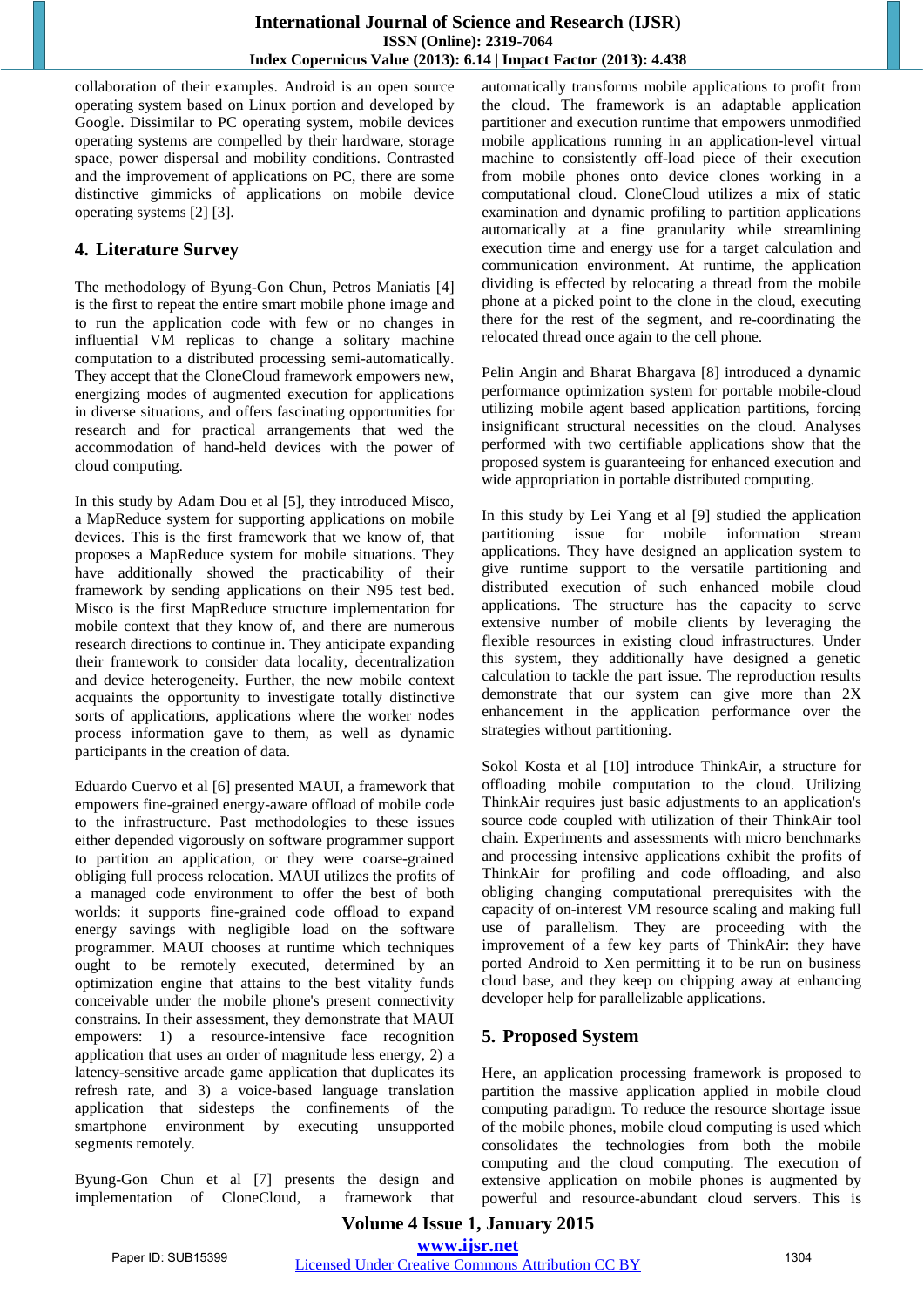collaboration of their examples. Android is an open source operating system based on Linux portion and developed by Google. Dissimilar to PC operating system, mobile devices operating systems are compelled by their hardware, storage space, power dispersal and mobility conditions. Contrasted and the improvement of applications on PC, there are some distinctive gimmicks of applications on mobile device operating systems [2] [3].

## **4. Literature Survey**

The methodology of Byung-Gon Chun, Petros Maniatis [4] is the first to repeat the entire smart mobile phone image and to run the application code with few or no changes in influential VM replicas to change a solitary machine computation to a distributed processing semi-automatically. They accept that the CloneCloud framework empowers new, energizing modes of augmented execution for applications in diverse situations, and offers fascinating opportunities for research and for practical arrangements that wed the accommodation of hand-held devices with the power of cloud computing.

In this study by Adam Dou et al [5], they introduced Misco, a MapReduce system for supporting applications on mobile devices. This is the first framework that we know of, that proposes a MapReduce system for mobile situations. They have additionally showed the practicability of their framework by sending applications on their N95 test bed. Misco is the first MapReduce structure implementation for mobile context that they know of, and there are numerous research directions to continue in. They anticipate expanding their framework to consider data locality, decentralization and device heterogeneity. Further, the new mobile context acquaints the opportunity to investigate totally distinctive sorts of applications, applications where the worker nodes process information gave to them, as well as dynamic participants in the creation of data.

Eduardo Cuervo et al [6] presented MAUI, a framework that empowers fine-grained energy-aware offload of mobile code to the infrastructure. Past methodologies to these issues either depended vigorously on software programmer support to partition an application, or they were coarse-grained obliging full process relocation. MAUI utilizes the profits of a managed code environment to offer the best of both worlds: it supports fine-grained code offload to expand energy savings with negligible load on the software programmer. MAUI chooses at runtime which techniques ought to be remotely executed, determined by an optimization engine that attains to the best vitality funds conceivable under the mobile phone's present connectivity constrains. In their assessment, they demonstrate that MAUI empowers: 1) a resource-intensive face recognition application that uses an order of magnitude less energy, 2) a latency-sensitive arcade game application that duplicates its refresh rate, and 3) a voice-based language translation application that sidesteps the confinements of the smartphone environment by executing unsupported segments remotely.

Byung-Gon Chun et al [7] presents the design and implementation of CloneCloud, a framework that automatically transforms mobile applications to profit from the cloud. The framework is an adaptable application partitioner and execution runtime that empowers unmodified mobile applications running in an application-level virtual machine to consistently off-load piece of their execution from mobile phones onto device clones working in a computational cloud. CloneCloud utilizes a mix of static examination and dynamic profiling to partition applications automatically at a fine granularity while streamlining execution time and energy use for a target calculation and communication environment. At runtime, the application dividing is effected by relocating a thread from the mobile phone at a picked point to the clone in the cloud, executing there for the rest of the segment, and re-coordinating the relocated thread once again to the cell phone.

Pelin Angin and Bharat Bhargava [8] introduced a dynamic performance optimization system for portable mobile-cloud utilizing mobile agent based application partitions, forcing insignificant structural necessities on the cloud. Analyses performed with two certifiable applications show that the proposed system is guaranteeing for enhanced execution and wide appropriation in portable distributed computing.

In this study by Lei Yang et al [9] studied the application partitioning issue for mobile information stream applications. They have designed an application system to give runtime support to the versatile partitioning and distributed execution of such enhanced mobile cloud applications. The structure has the capacity to serve extensive number of mobile clients by leveraging the flexible resources in existing cloud infrastructures. Under this system, they additionally have designed a genetic calculation to tackle the part issue. The reproduction results demonstrate that our system can give more than 2X enhancement in the application performance over the strategies without partitioning.

Sokol Kosta et al [10] introduce ThinkAir, a structure for offloading mobile computation to the cloud. Utilizing ThinkAir requires just basic adjustments to an application's source code coupled with utilization of their ThinkAir tool chain. Experiments and assessments with micro benchmarks and processing intensive applications exhibit the profits of ThinkAir for profiling and code offloading, and also obliging changing computational prerequisites with the capacity of on-interest VM resource scaling and making full use of parallelism. They are proceeding with the improvement of a few key parts of ThinkAir: they have ported Android to Xen permitting it to be run on business cloud base, and they keep on chipping away at enhancing developer help for parallelizable applications.

# **5. Proposed System**

Here, an application processing framework is proposed to partition the massive application applied in mobile cloud computing paradigm. To reduce the resource shortage issue of the mobile phones, mobile cloud computing is used which consolidates the technologies from both the mobile computing and the cloud computing. The execution of extensive application on mobile phones is augmented by powerful and resource-abundant cloud servers. This is